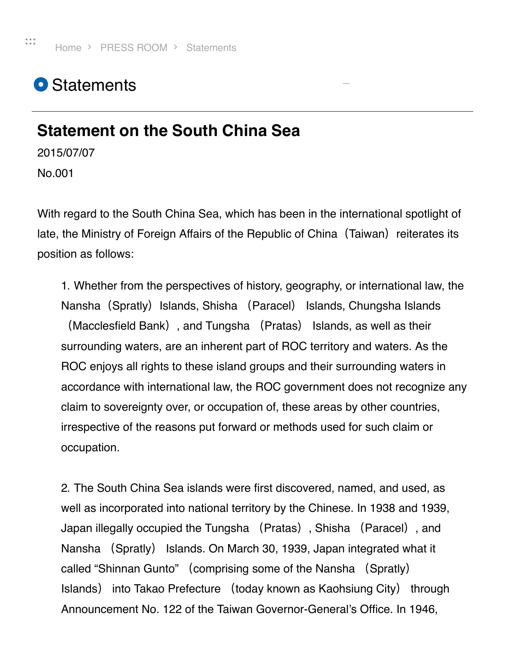## <span id="page-0-0"></span>**O** Statements

## <span id="page-0-1"></span>**Statement on the South China Sea**

2015/07/07

No.001

With regard to the South China Sea, which has been in the international spotlight of late, the Ministry of Foreign Affairs of the Republic of China (Taiwan) reiterates its position as follows:

**[\\_](#page-0-1)**

1. Whether from the perspectives of history, geography, or international law, the Nansha (Spratly) Islands, Shisha (Paracel) Islands, Chungsha Islands (Macclesfield Bank), and Tungsha (Pratas) Islands, as well as their surrounding waters, are an inherent part of ROC territory and waters. As the ROC enjoys all rights to these island groups and their surrounding waters in accordance with international law, the ROC government does not recognize any claim to sovereignty over, or occupation of, these areas by other countries, irrespective of the reasons put forward or methods used for such claim or occupation.

2. The South China Sea islands were first discovered, named, and used, as well as incorporated into national territory by the Chinese. In 1938 and 1939, Japan illegally occupied the Tungsha (Pratas), Shisha (Paracel), and Nansha (Spratly) Islands. On March 30, 1939, Japan integrated what it called "Shinnan Gunto" (comprising some of the Nansha (Spratly) Islands) into Takao Prefecture (today known as Kaohsiung City) through Announcement No. 122 of the Taiwan Governor-General's Office. In 1946,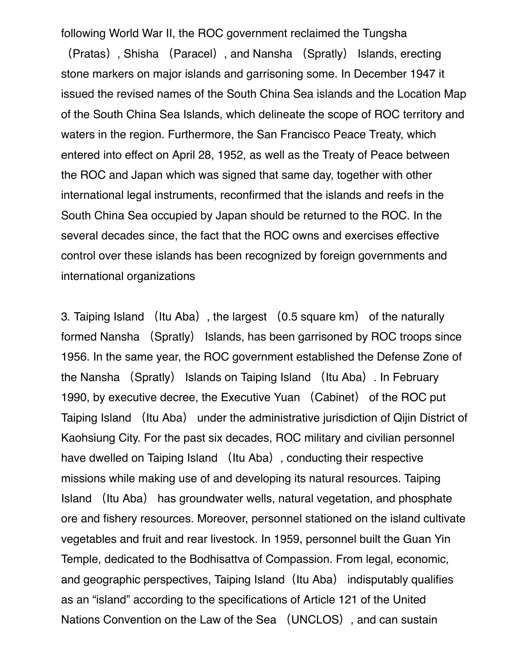following World War II, the ROC government reclaimed the Tungsha

(Pratas), Shisha (Paracel), and Nansha (Spratly) Islands, erecting stone markers on major islands and garrisoning some. In December 1947 it issued the revised names of the South China Sea islands and the Location Map of the South China Sea Islands, which delineate the scope of ROC territory and waters in the region. Furthermore, the San Francisco Peace Treaty, which entered into effect on April 28, 1952, as well as the Treaty of Peace between the ROC and Japan which was signed that same day, together with other international legal instruments, reconfirmed that the islands and reefs in the South China Sea occupied by Japan should be returned to the ROC. In the several decades since, the fact that the ROC owns and exercises effective control over these islands has been recognized by foreign governments and international organizations

3. Taiping Island (Itu Aba), the largest (0.5 square km) of the naturally formed Nansha (Spratly) Islands, has been garrisoned by ROC troops since 1956. In the same year, the ROC government established the Defense Zone of the Nansha (Spratly) Islands on Taiping Island (Itu Aba). In February 1990, by executive decree, the Executive Yuan (Cabinet) of the ROC put Taiping Island (Itu Aba) under the administrative jurisdiction of Qijin District of Kaohsiung City. For the past six decades, ROC military and civilian personnel have dwelled on Taiping Island (Itu Aba), conducting their respective missions while making use of and developing its natural resources. Taiping Island (Itu Aba) has groundwater wells, natural vegetation, and phosphate ore and fishery resources. Moreover, personnel stationed on the island cultivate vegetables and fruit and rear livestock. In 1959, personnel built the Guan Yin Temple, dedicated to the Bodhisattva of Compassion. From legal, economic, and geographic perspectives, Taiping Island (Itu Aba) indisputably qualifies as an "island" according to the specifications of Article 121 of the United Nations Convention on the Law of the Sea (UNCLOS), and can sustain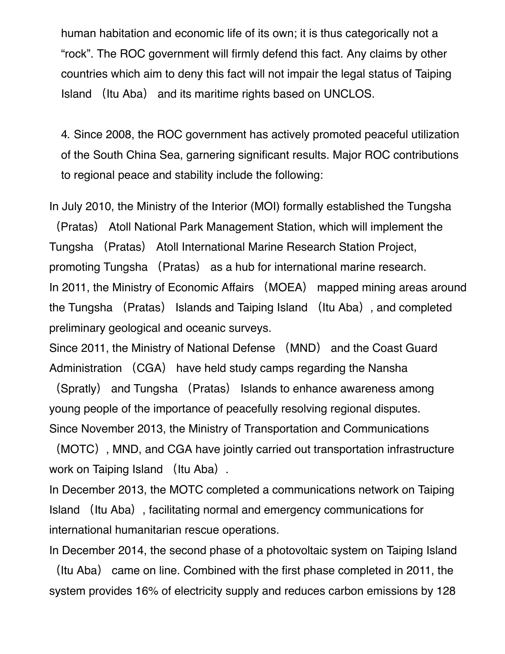human habitation and economic life of its own; it is thus categorically not a "rock". The ROC government will firmly defend this fact. Any claims by other countries which aim to deny this fact will not impair the legal status of Taiping Island (Itu Aba) and its maritime rights based on UNCLOS.

4. Since 2008, the ROC government has actively promoted peaceful utilization of the South China Sea, garnering significant results. Major ROC contributions to regional peace and stability include the following:

In July 2010, the Ministry of the Interior (MOI) formally established the Tungsha

(Pratas) Atoll National Park Management Station, which will implement the Tungsha (Pratas) Atoll International Marine Research Station Project, promoting Tungsha (Pratas) as a hub for international marine research. In 2011, the Ministry of Economic Affairs (MOEA) mapped mining areas around the Tungsha (Pratas) Islands and Taiping Island (Itu Aba), and completed preliminary geological and oceanic surveys.

Since 2011, the Ministry of National Defense (MND) and the Coast Guard Administration (CGA) have held study camps regarding the Nansha

(Spratly) and Tungsha (Pratas) Islands to enhance awareness among young people of the importance of peacefully resolving regional disputes. Since November 2013, the Ministry of Transportation and Communications

(MOTC), MND, and CGA have jointly carried out transportation infrastructure work on Taiping Island (Itu Aba).

In December 2013, the MOTC completed a communications network on Taiping Island (Itu Aba), facilitating normal and emergency communications for international humanitarian rescue operations.

In December 2014, the second phase of a photovoltaic system on Taiping Island

(Itu Aba) came on line. Combined with the first phase completed in 2011, the system provides 16% of electricity supply and reduces carbon emissions by 128